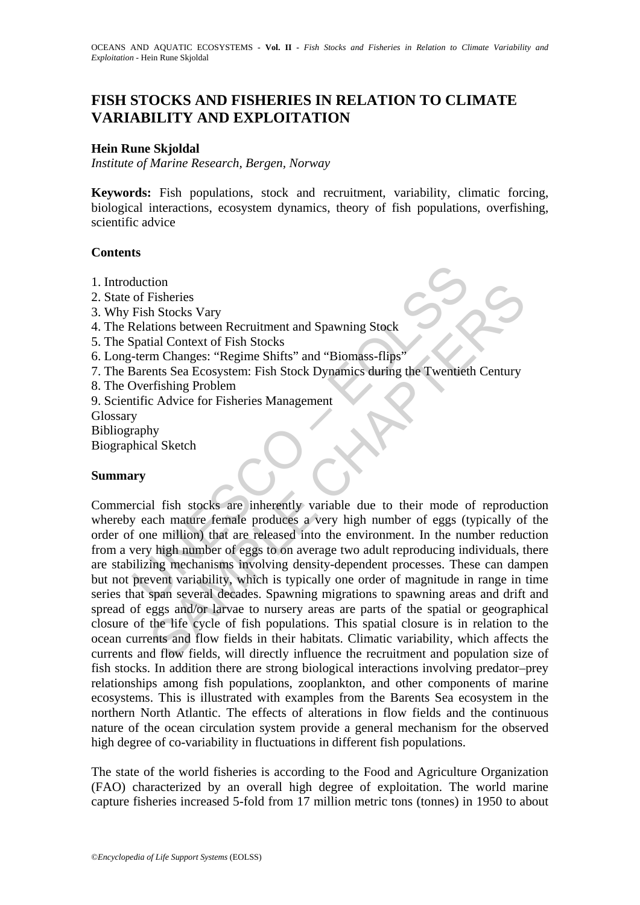# **FISH STOCKS AND FISHERIES IN RELATION TO CLIMATE VARIABILITY AND EXPLOITATION**

#### **Hein Rune Skjoldal**

*Institute of Marine Research, Bergen, Norway* 

**Keywords:** Fish populations, stock and recruitment, variability, climatic forcing, biological interactions, ecosystem dynamics, theory of fish populations, overfishing, scientific advice

#### **Contents**

- 1. Introduction
- 2. State of Fisheries
- 3. Why Fish Stocks Vary
- 4. The Relations between Recruitment and Spawning Stock
- 5. The Spatial Context of Fish Stocks
- 6. Long-term Changes: "Regime Shifts" and "Biomass-flips"
- 7. The Barents Sea Ecosystem: Fish Stock Dynamics during the Twentieth Century
- 8. The Overfishing Problem
- 9. Scientific Advice for Fisheries Management
- Glossary
- Bibliography
- Biographical Sketch

#### **Summary**

duction<br>
of Fisheries<br>
Fish Stocks Vary<br>
Relations between Recruitment and Spawning Stock<br>
Spatial Context of Fish Stocks<br>
1-erm Changes: "Regime Shifts" and "Biomass-flips"<br>
Dverfishing Problem<br>
Jarents Sea Ecosystem: Fis To<br>
Fisheries<br>
In Stocks Vary<br>
Fisheries<br>
tions between Recruitment and Spawning Stock<br>
tial Context of Fish Stocks<br>
am Changes: "Regime Shifts" and "Biomass-flips"<br>
ents Sea Ecosystem: Fish Stock Dynamics during the Twent Commercial fish stocks are inherently variable due to their mode of reproduction whereby each mature female produces a very high number of eggs (typically of the order of one million) that are released into the environment. In the number reduction from a very high number of eggs to on average two adult reproducing individuals, there are stabilizing mechanisms involving density-dependent processes. These can dampen but not prevent variability, which is typically one order of magnitude in range in time series that span several decades. Spawning migrations to spawning areas and drift and spread of eggs and/or larvae to nursery areas are parts of the spatial or geographical closure of the life cycle of fish populations. This spatial closure is in relation to the ocean currents and flow fields in their habitats. Climatic variability, which affects the currents and flow fields, will directly influence the recruitment and population size of fish stocks. In addition there are strong biological interactions involving predator–prey relationships among fish populations, zooplankton, and other components of marine ecosystems. This is illustrated with examples from the Barents Sea ecosystem in the northern North Atlantic. The effects of alterations in flow fields and the continuous nature of the ocean circulation system provide a general mechanism for the observed high degree of co-variability in fluctuations in different fish populations.

The state of the world fisheries is according to the Food and Agriculture Organization (FAO) characterized by an overall high degree of exploitation. The world marine capture fisheries increased 5-fold from 17 million metric tons (tonnes) in 1950 to about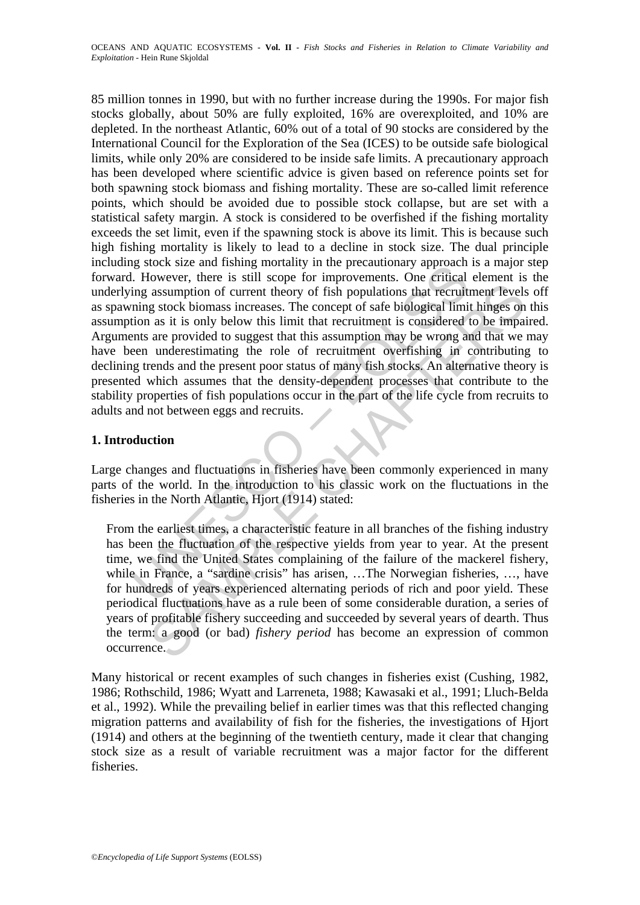In Such size and filaming intorially in the precationally applyear<br>in However, there is still scope for improvements. One critical<br>ing assumption of current theory of fish populations that recruit<br>ining stock biomass incre assumption of current theory of fish populations that recruitment levels<br>assumption of current theory of fish populations that recruitment levels<br>g stock biomass increases. The concept of safe biological limit hinges on<br>a 85 million tonnes in 1990, but with no further increase during the 1990s. For major fish stocks globally, about 50% are fully exploited, 16% are overexploited, and 10% are depleted. In the northeast Atlantic, 60% out of a total of 90 stocks are considered by the International Council for the Exploration of the Sea (ICES) to be outside safe biological limits, while only 20% are considered to be inside safe limits. A precautionary approach has been developed where scientific advice is given based on reference points set for both spawning stock biomass and fishing mortality. These are so-called limit reference points, which should be avoided due to possible stock collapse, but are set with a statistical safety margin. A stock is considered to be overfished if the fishing mortality exceeds the set limit, even if the spawning stock is above its limit. This is because such high fishing mortality is likely to lead to a decline in stock size. The dual principle including stock size and fishing mortality in the precautionary approach is a major step forward. However, there is still scope for improvements. One critical element is the underlying assumption of current theory of fish populations that recruitment levels off as spawning stock biomass increases. The concept of safe biological limit hinges on this assumption as it is only below this limit that recruitment is considered to be impaired. Arguments are provided to suggest that this assumption may be wrong and that we may have been underestimating the role of recruitment overfishing in contributing to declining trends and the present poor status of many fish stocks. An alternative theory is presented which assumes that the density-dependent processes that contribute to the stability properties of fish populations occur in the part of the life cycle from recruits to adults and not between eggs and recruits.

## **1. Introduction**

Large changes and fluctuations in fisheries have been commonly experienced in many parts of the world. In the introduction to his classic work on the fluctuations in the fisheries in the North Atlantic, Hjort (1914) stated:

From the earliest times, a characteristic feature in all branches of the fishing industry has been the fluctuation of the respective yields from year to year. At the present time, we find the United States complaining of the failure of the mackerel fishery, while in France, a "sardine crisis" has arisen, …The Norwegian fisheries, …, have for hundreds of years experienced alternating periods of rich and poor yield. These periodical fluctuations have as a rule been of some considerable duration, a series of years of profitable fishery succeeding and succeeded by several years of dearth. Thus the term: a good (or bad) *fishery period* has become an expression of common occurrence.

Many historical or recent examples of such changes in fisheries exist (Cushing, 1982, 1986; Rothschild, 1986; Wyatt and Larreneta, 1988; Kawasaki et al., 1991; Lluch-Belda et al., 1992). While the prevailing belief in earlier times was that this reflected changing migration patterns and availability of fish for the fisheries, the investigations of Hjort (1914) and others at the beginning of the twentieth century, made it clear that changing stock size as a result of variable recruitment was a major factor for the different fisheries.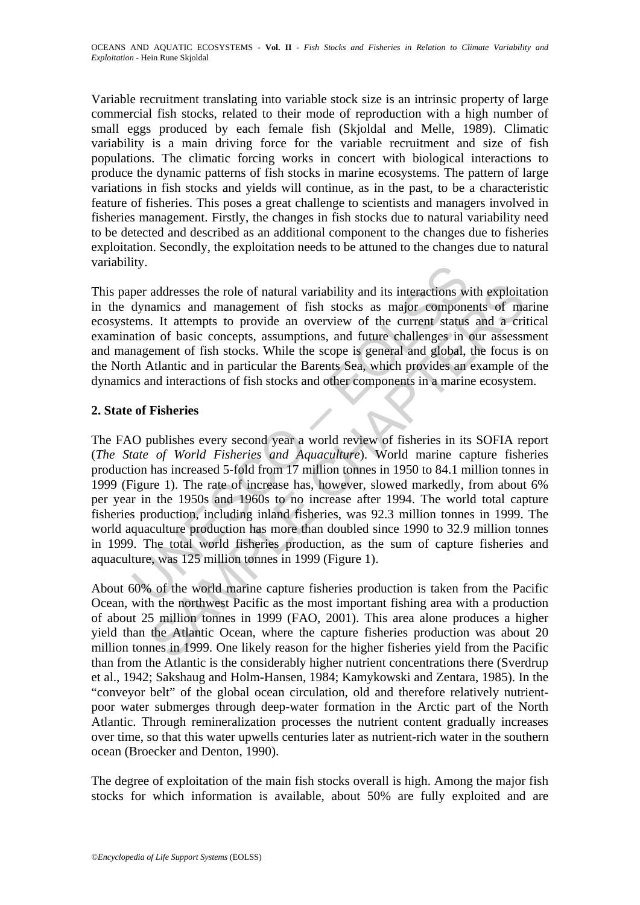Variable recruitment translating into variable stock size is an intrinsic property of large commercial fish stocks, related to their mode of reproduction with a high number of small eggs produced by each female fish (Skjoldal and Melle, 1989). Climatic variability is a main driving force for the variable recruitment and size of fish populations. The climatic forcing works in concert with biological interactions to produce the dynamic patterns of fish stocks in marine ecosystems. The pattern of large variations in fish stocks and yields will continue, as in the past, to be a characteristic feature of fisheries. This poses a great challenge to scientists and managers involved in fisheries management. Firstly, the changes in fish stocks due to natural variability need to be detected and described as an additional component to the changes due to fisheries exploitation. Secondly, the exploitation needs to be attuned to the changes due to natural variability.

This paper addresses the role of natural variability and its interactions with exploitation in the dynamics and management of fish stocks as major components of marine ecosystems. It attempts to provide an overview of the current status and a critical examination of basic concepts, assumptions, and future challenges in our assessment and management of fish stocks. While the scope is general and global, the focus is on the North Atlantic and in particular the Barents Sea, which provides an example of the dynamics and interactions of fish stocks and other components in a marine ecosystem.

### **2. State of Fisheries**

Ity.<br>
Suy.<br>
Suy.<br>
Super addresses the role of natural variability and its interactions w<br>
dynamics and management of fish stocks as major compone<br>
ems. It attempts to provide an overview of the current status<br>
station of b addresses the role of natural variability and its interactions with exploitar<br>amics and management of fish stocks as major components of mass in<br>the trurns to provide an overview of the current status and at erri<br>in or ba The FAO publishes every second year a world review of fisheries in its SOFIA report (*The State of World Fisheries and Aquaculture*). World marine capture fisheries production has increased 5-fold from 17 million tonnes in 1950 to 84.1 million tonnes in 1999 (Figure 1). The rate of increase has, however, slowed markedly, from about 6% per year in the 1950s and 1960s to no increase after 1994. The world total capture fisheries production, including inland fisheries, was 92.3 million tonnes in 1999. The world aquaculture production has more than doubled since 1990 to 32.9 million tonnes in 1999. The total world fisheries production, as the sum of capture fisheries and aquaculture, was 125 million tonnes in 1999 (Figure 1).

About 60% of the world marine capture fisheries production is taken from the Pacific Ocean, with the northwest Pacific as the most important fishing area with a production of about 25 million tonnes in 1999 (FAO, 2001). This area alone produces a higher yield than the Atlantic Ocean, where the capture fisheries production was about 20 million tonnes in 1999. One likely reason for the higher fisheries yield from the Pacific than from the Atlantic is the considerably higher nutrient concentrations there (Sverdrup et al., 1942; Sakshaug and Holm-Hansen, 1984; Kamykowski and Zentara, 1985). In the "conveyor belt" of the global ocean circulation, old and therefore relatively nutrientpoor water submerges through deep-water formation in the Arctic part of the North Atlantic. Through remineralization processes the nutrient content gradually increases over time, so that this water upwells centuries later as nutrient-rich water in the southern ocean (Broecker and Denton, 1990).

The degree of exploitation of the main fish stocks overall is high. Among the major fish stocks for which information is available, about 50% are fully exploited and are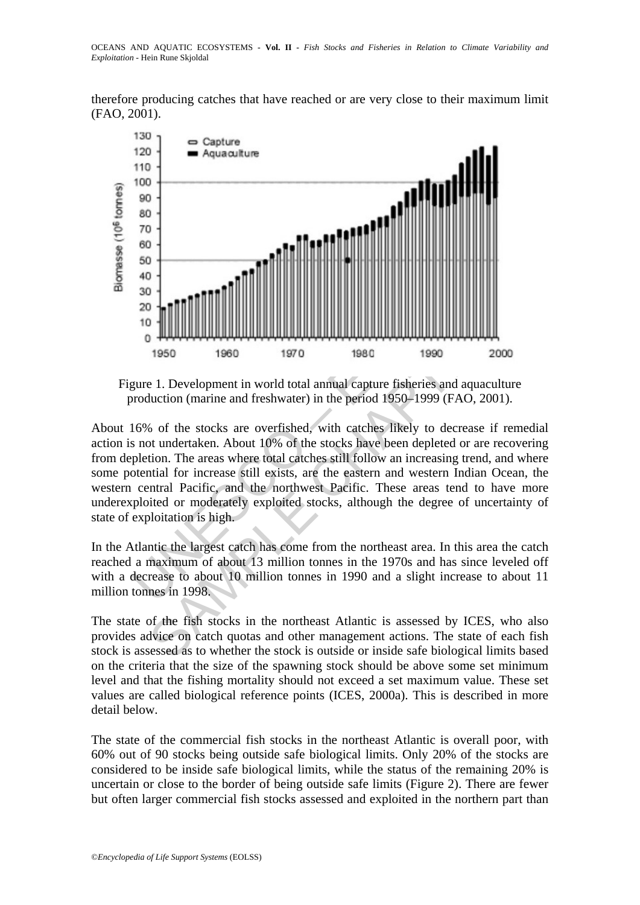therefore producing catches that have reached or are very close to their maximum limit (FAO, 2001).



Figure 1. Development in world total annual capture fisheries and aquaculture production (marine and freshwater) in the period 1950–1999 (FAO, 2001).

19<br>
1950 1960 1970 1980 1990 2000<br>
1970 1980 1990 2000<br>
1970 1980 1990 2000<br>
1970 1980 1990 2000<br>
1970 1980 1990 2000<br>
1970 1980 1990 2000<br>
1970 1980 1990 2000<br>
1970 1980 1990 2000<br>
1970 1980 1990 2000<br>
1970 1980 1990 (FAO About 16% of the stocks are overfished, with catches likely to decrease if remedial action is not undertaken. About 10% of the stocks have been depleted or are recovering from depletion. The areas where total catches still follow an increasing trend, and where some potential for increase still exists, are the eastern and western Indian Ocean, the western central Pacific, and the northwest Pacific. These areas tend to have more underexploited or moderately exploited stocks, although the degree of uncertainty of state of exploitation is high.

In the Atlantic the largest catch has come from the northeast area. In this area the catch reached a maximum of about 13 million tonnes in the 1970s and has since leveled off with a decrease to about 10 million tonnes in 1990 and a slight increase to about 11 million tonnes in 1998.

The state of the fish stocks in the northeast Atlantic is assessed by ICES, who also provides advice on catch quotas and other management actions. The state of each fish stock is assessed as to whether the stock is outside or inside safe biological limits based on the criteria that the size of the spawning stock should be above some set minimum level and that the fishing mortality should not exceed a set maximum value. These set values are called biological reference points (ICES, 2000a). This is described in more detail below.

The state of the commercial fish stocks in the northeast Atlantic is overall poor, with 60% out of 90 stocks being outside safe biological limits. Only 20% of the stocks are considered to be inside safe biological limits, while the status of the remaining 20% is uncertain or close to the border of being outside safe limits (Figure 2). There are fewer but often larger commercial fish stocks assessed and exploited in the northern part than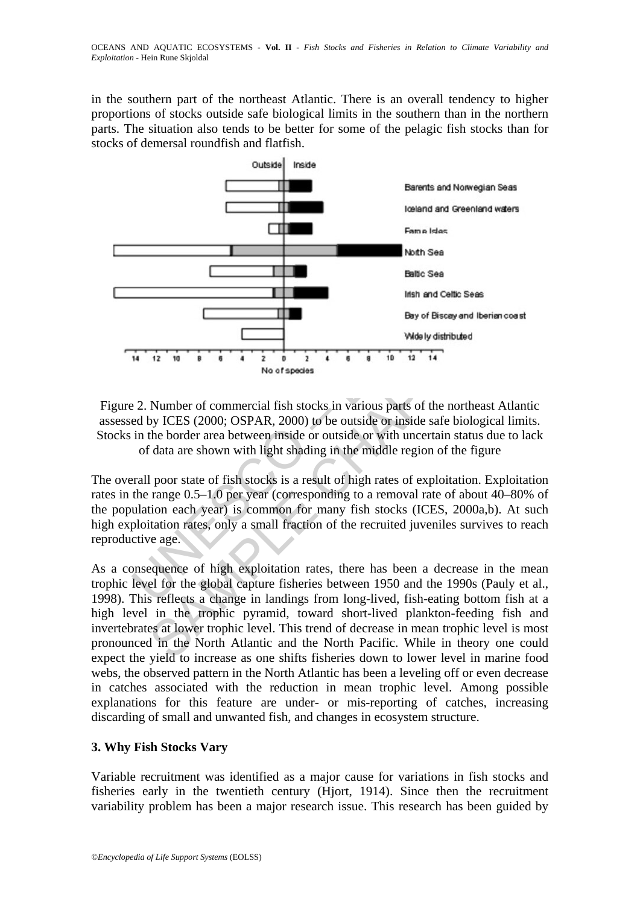in the southern part of the northeast Atlantic. There is an overall tendency to higher proportions of stocks outside safe biological limits in the southern than in the northern parts. The situation also tends to be better for some of the pelagic fish stocks than for stocks of demersal roundfish and flatfish.



Figure 2. Number of commercial fish stocks in various parts of the northeast Atlantic assessed by ICES (2000; OSPAR, 2000) to be outside or inside safe biological limits. Stocks in the border area between inside or outside or with uncertain status due to lack of data are shown with light shading in the middle region of the figure

The overall poor state of fish stocks is a result of high rates of exploitation. Exploitation rates in the range 0.5–1.0 per year (corresponding to a removal rate of about 40–80% of the population each year) is common for many fish stocks (ICES, 2000a,b). At such high exploitation rates, only a small fraction of the recruited juveniles survives to reach reproductive age.

As a consequence of high exploitation rates, there has been a decrease in the mean trophic level for the global capture fisheries between 1950 and the 1990s (Pauly et al., 1998). This reflects a change in landings from long-lived, fish-eating bottom fish at a high level in the trophic pyramid, toward short-lived plankton-feeding fish and invertebrates at lower trophic level. This trend of decrease in mean trophic level is most pronounced in the North Atlantic and the North Pacific. While in theory one could expect the yield to increase as one shifts fisheries down to lower level in marine food webs, the observed pattern in the North Atlantic has been a leveling off or even decrease in catches associated with the reduction in mean trophic level. Among possible explanations for this feature are under- or mis-reporting of catches, increasing discarding of small and unwanted fish, and changes in ecosystem structure.

### **3. Why Fish Stocks Vary**

Variable recruitment was identified as a major cause for variations in fish stocks and fisheries early in the twentieth century (Hjort, 1914). Since then the recruitment variability problem has been a major research issue. This research has been guided by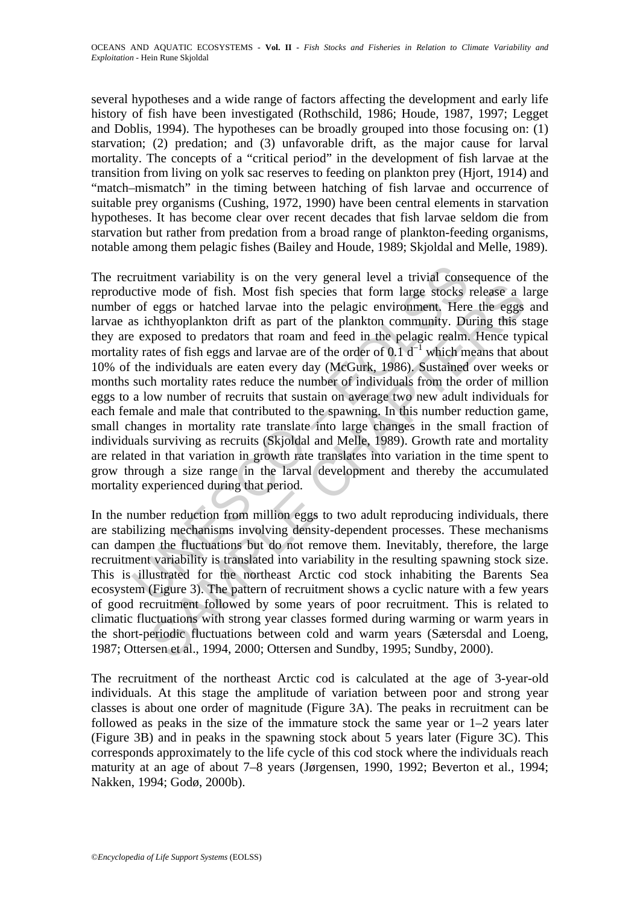several hypotheses and a wide range of factors affecting the development and early life history of fish have been investigated (Rothschild, 1986; Houde, 1987, 1997; Legget and Doblis, 1994). The hypotheses can be broadly grouped into those focusing on: (1) starvation; (2) predation; and (3) unfavorable drift, as the major cause for larval mortality. The concepts of a "critical period" in the development of fish larvae at the transition from living on yolk sac reserves to feeding on plankton prey (Hjort, 1914) and "match–mismatch" in the timing between hatching of fish larvae and occurrence of suitable prey organisms (Cushing, 1972, 1990) have been central elements in starvation hypotheses. It has become clear over recent decades that fish larvae seldom die from starvation but rather from predation from a broad range of plankton-feeding organisms, notable among them pelagic fishes (Bailey and Houde, 1989; Skjoldal and Melle, 1989).

ruitment variability is on the very general level a trivial consective mode of fish. Most fish species that form large stocks is of eggs or hatched larvae into the pelagic environment. Here is ichthyoplankton drift as part we mode of fish. Most fish species that form large stocks release a l<br>eggs or hatched larvae into the pelagic environment. Here the eggs<br>chowhyolankton drift as part of the plankton community. During this<br>choosed to preda The recruitment variability is on the very general level a trivial consequence of the reproductive mode of fish. Most fish species that form large stocks release a large number of eggs or hatched larvae into the pelagic environment. Here the eggs and larvae as ichthyoplankton drift as part of the plankton community. During this stage they are exposed to predators that roam and feed in the pelagic realm. Hence typical mortality rates of fish eggs and larvae are of the order of 0.1  $d^{-1}$  which means that about 10% of the individuals are eaten every day (McGurk, 1986). Sustained over weeks or months such mortality rates reduce the number of individuals from the order of million eggs to a low number of recruits that sustain on average two new adult individuals for each female and male that contributed to the spawning. In this number reduction game, small changes in mortality rate translate into large changes in the small fraction of individuals surviving as recruits (Skjoldal and Melle, 1989). Growth rate and mortality are related in that variation in growth rate translates into variation in the time spent to grow through a size range in the larval development and thereby the accumulated mortality experienced during that period.

In the number reduction from million eggs to two adult reproducing individuals, there are stabilizing mechanisms involving density-dependent processes. These mechanisms can dampen the fluctuations but do not remove them. Inevitably, therefore, the large recruitment variability is translated into variability in the resulting spawning stock size. This is illustrated for the northeast Arctic cod stock inhabiting the Barents Sea ecosystem (Figure 3). The pattern of recruitment shows a cyclic nature with a few years of good recruitment followed by some years of poor recruitment. This is related to climatic fluctuations with strong year classes formed during warming or warm years in the short-periodic fluctuations between cold and warm years (Sætersdal and Loeng, 1987; Ottersen et al., 1994, 2000; Ottersen and Sundby, 1995; Sundby, 2000).

The recruitment of the northeast Arctic cod is calculated at the age of 3-year-old individuals. At this stage the amplitude of variation between poor and strong year classes is about one order of magnitude (Figure 3A). The peaks in recruitment can be followed as peaks in the size of the immature stock the same year or 1–2 years later (Figure 3B) and in peaks in the spawning stock about 5 years later (Figure 3C). This corresponds approximately to the life cycle of this cod stock where the individuals reach maturity at an age of about 7–8 years (Jørgensen, 1990, 1992; Beverton et al., 1994; Nakken, 1994; Godø, 2000b).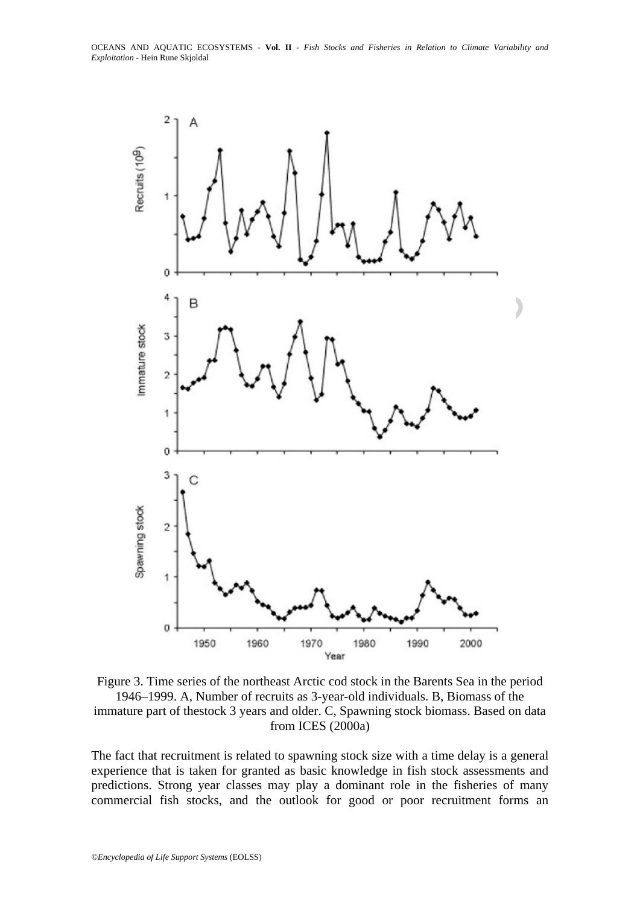



The fact that recruitment is related to spawning stock size with a time delay is a general experience that is taken for granted as basic knowledge in fish stock assessments and predictions. Strong year classes may play a dominant role in the fisheries of many commercial fish stocks, and the outlook for good or poor recruitment forms an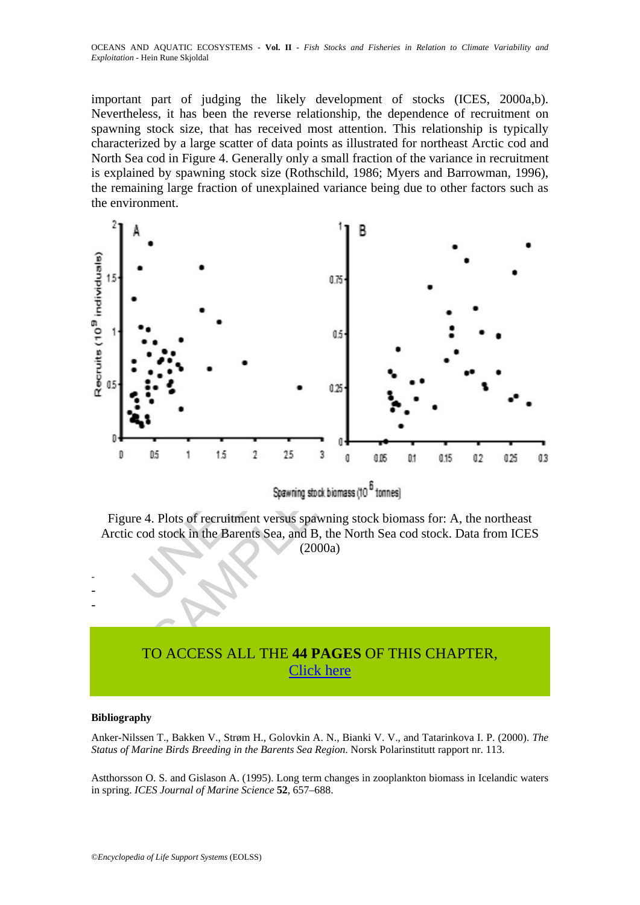important part of judging the likely development of stocks (ICES, 2000a,b). Nevertheless, it has been the reverse relationship, the dependence of recruitment on spawning stock size, that has received most attention. This relationship is typically characterized by a large scatter of data points as illustrated for northeast Arctic cod and North Sea cod in Figure 4. Generally only a small fraction of the variance in recruitment is explained by spawning stock size (Rothschild, 1986; Myers and Barrowman, 1996), the remaining large fraction of unexplained variance being due to other factors such as the environment.



Figure 4. Plots of recruitment versus spawning stock biomass for: A, the northeast Arctic cod stock in the Barents Sea, and B, the North Sea cod stock. Data from ICES (2000a)

# TO ACCESS ALL THE **44 PAGES** OF THIS CHAPTER, [Click here](https://www.eolss.net/ebooklib/sc_cart.aspx?File=E1-06-04-02)

#### **Bibliography**

- - -

Anker-Nilssen T., Bakken V., Strøm H., Golovkin A. N., Bianki V. V., and Tatarinkova I. P. (2000). *The Status of Marine Birds Breeding in the Barents Sea Region*. Norsk Polarinstitutt rapport nr. 113.

Astthorsson O. S. and Gislason A. (1995). Long term changes in zooplankton biomass in Icelandic waters in spring. *ICES Journal of Marine Science* **52**, 657–688.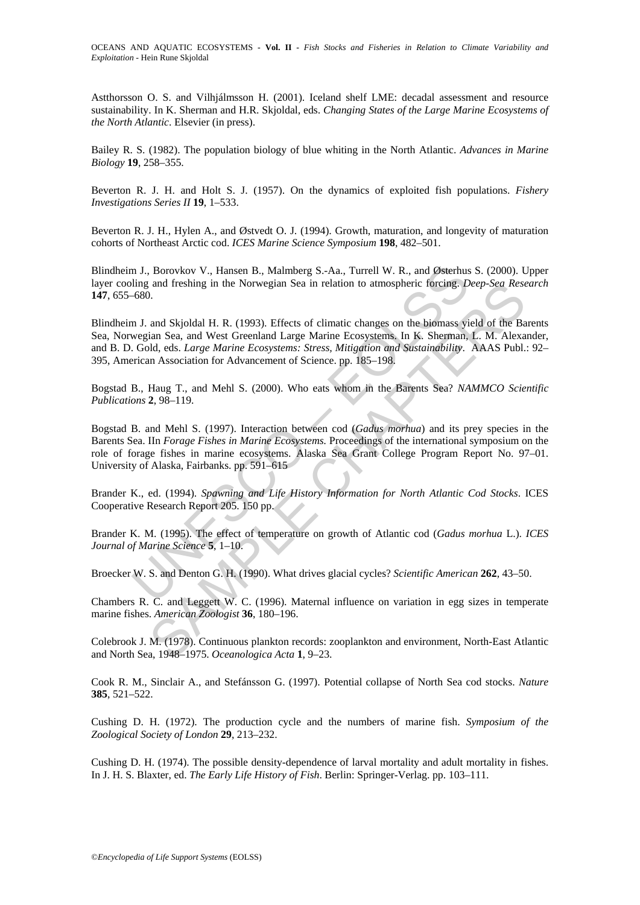Astthorsson O. S. and Vilhjálmsson H. (2001). Iceland shelf LME: decadal assessment and resource sustainability. In K. Sherman and H.R. Skjoldal, eds. *Changing States of the Large Marine Ecosystems of the North Atlantic*. Elsevier (in press).

Bailey R. S. (1982). The population biology of blue whiting in the North Atlantic. *Advances in Marine Biology* **19**, 258–355.

Beverton R. J. H. and Holt S. J. (1957). On the dynamics of exploited fish populations. *Fishery Investigations Series II* **19**, 1–533.

Beverton R. J. H., Hylen A., and Østvedt O. J. (1994). Growth, maturation, and longevity of maturation cohorts of Northeast Arctic cod. *ICES Marine Science Symposium* **198**, 482–501.

Blindheim J., Borovkov V., Hansen B., Malmberg S.-Aa., Turrell W. R., and Østerhus S. (2000). Upper layer cooling and freshing in the Norwegian Sea in relation to atmospheric forcing. *Deep-Sea Research* **147**, 655–680.

n J., Borovkov V., Hansen B., Malmberg S.-Aa., Turrell W. R., and Østerhusting and freshing in the Norwegian Sea in relation to atmospheric forcing. D<br>680.<br>1. and Skjoldal H. R. (1993). Effects of climatic changes on the b and Ireshing in the Norwegian Sea in relation to atmospheric forcing. *Deep-Sea Resi*<br>
2. and Skjoldal H. R. (1993). Effects of elimatic changes on the biomass yield of the Bain<br>
3. and Skjoldal H. R. (1993). Effects of el Blindheim J. and Skjoldal H. R. (1993). Effects of climatic changes on the biomass yield of the Barents Sea, Norwegian Sea, and West Greenland Large Marine Ecosystems. In K. Sherman, L. M. Alexander, and B. D. Gold, eds. *Large Marine Ecosystems: Stress, Mitigation and Sustainability*. AAAS Publ.: 92– 395, American Association for Advancement of Science. pp. 185–198.

Bogstad B., Haug T., and Mehl S. (2000). Who eats whom in the Barents Sea? *NAMMCO Scientific Publications* **2**, 98–119.

Bogstad B. and Mehl S. (1997). Interaction between cod (*Gadus morhua*) and its prey species in the Barents Sea. IIn *Forage Fishes in Marine Ecosystems.* Proceedings of the international symposium on the role of forage fishes in marine ecosystems. Alaska Sea Grant College Program Report No. 97–01. University of Alaska, Fairbanks. pp. 591–615

Brander K., ed. (1994). *Spawning and Life History Information for North Atlantic Cod Stocks*. ICES Cooperative Research Report 205. 150 pp.

Brander K. M. (1995). The effect of temperature on growth of Atlantic cod (*Gadus morhua* L.). *ICES Journal of Marine Science* **5**, 1–10.

Broecker W. S. and Denton G. H. (1990). What drives glacial cycles? *Scientific American* **262**, 43–50.

Chambers R. C. and Leggett W. C. (1996). Maternal influence on variation in egg sizes in temperate marine fishes. *American Zoologist* **36**, 180–196.

Colebrook J. M. (1978). Continuous plankton records: zooplankton and environment, North-East Atlantic and North Sea, 1948–1975. *Oceanologica Acta* **1**, 9–23.

Cook R. M., Sinclair A., and Stefánsson G. (1997). Potential collapse of North Sea cod stocks. *Nature* **385**, 521–522.

Cushing D. H. (1972). The production cycle and the numbers of marine fish. *Symposium of the Zoological Society of London* **29**, 213–232.

Cushing D. H. (1974). The possible density-dependence of larval mortality and adult mortality in fishes. In J. H. S. Blaxter, ed. *The Early Life History of Fish*. Berlin: Springer-Verlag. pp. 103–111.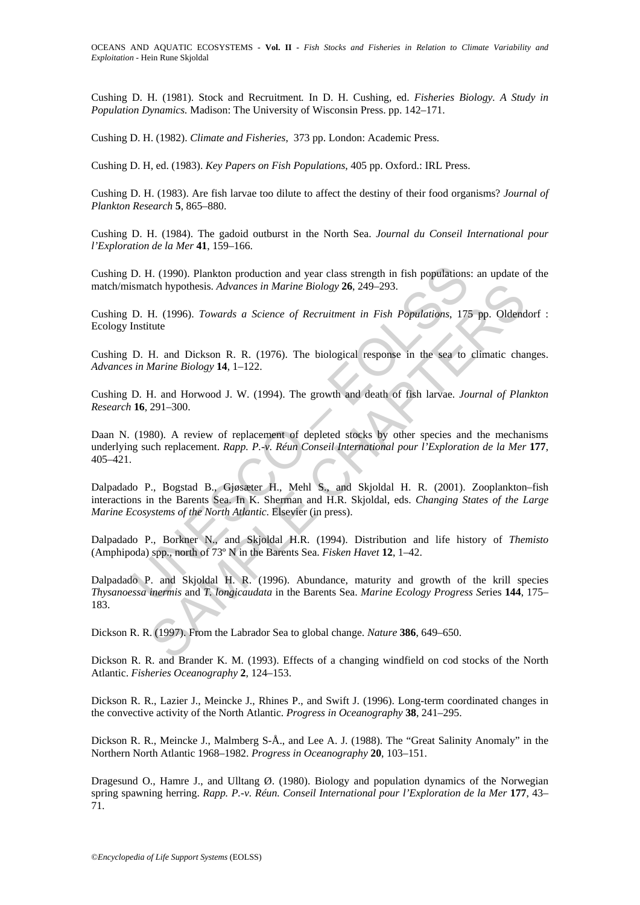Cushing D. H. (1981). Stock and Recruitment*.* In D. H. Cushing, ed. *Fisheries Biology. A Study in Population Dynamics.* Madison: The University of Wisconsin Press. pp. 142–171.

Cushing D. H. (1982). *Climate and Fisheries*, 373 pp. London: Academic Press.

Cushing D. H, ed. (1983). *Key Papers on Fish Populations*, 405 pp. Oxford.: IRL Press.

Cushing D. H. (1983). Are fish larvae too dilute to affect the destiny of their food organisms? *Journal of Plankton Research* **5**, 865–880.

Cushing D. H. (1984). The gadoid outburst in the North Sea. *Journal du Conseil International pour l'Exploration de la Mer* **41**, 159–166.

Cushing D. H. (1990). Plankton production and year class strength in fish populations: an update of the match/mismatch hypothesis. *Advances in Marine Biology* **26**, 249–293.

Cushing D. H. (1996). *Towards a Science of Recruitment in Fish Populations*, 175 pp. Oldendorf : Ecology Institute

Cushing D. H. and Dickson R. R. (1976). The biological response in the sea to climatic changes. *Advances in Marine Biology* **14**, 1–122.

Cushing D. H. and Horwood J. W. (1994). The growth and death of fish larvae. *Journal of Plankton Research* **16**, 291–300.

Daan N. (1980). A review of replacement of depleted stocks by other species and the mechanisms underlying such replacement. *Rapp. P.-v. Réun Conseil International pour l'Exploration de la Mer* **177**, 405–421.

D. H. (1990). Plankton production and year class strength in fish populations<br>smatch hypothesis. Advances in Marine Biology 26, 249–293.<br>D. H. (1996). Towards a Science of Recruitment in Fish Populations, 175<br>Institute<br>D. Itch hypothesis. *Advances in Marine Biology* 26, 249–293.<br>
H. (1996). *Towards a Science of Recruiment in Fish Populations*, 175 pp. Oldend<br>
the<br>
H. and Dickson R. R. (1976). The biological response in the sea to climatic Dalpadado P., Bogstad B., Gjøsæter H., Mehl S., and Skjoldal H. R. (2001). Zooplankton–fish interactions in the Barents Sea. In K. Sherman and H.R. Skjoldal, eds. *Changing States of the Large Marine Ecosystems of the North Atlantic*. Elsevier (in press).

Dalpadado P., Borkner N., and Skjoldal H.R. (1994). Distribution and life history of *Themisto*  (Amphipoda) spp., north of 73º N in the Barents Sea. *Fisken Havet* **12**, 1–42.

Dalpadado P. and Skjoldal H. R. (1996). Abundance, maturity and growth of the krill species *Thysanoessa inermis* and *T. longicaudata* in the Barents Sea. *Marine Ecology Progress Se*ries **144**, 175– 183.

Dickson R. R. (1997). From the Labrador Sea to global change. *Nature* **386**, 649–650.

Dickson R. R. and Brander K. M. (1993). Effects of a changing windfield on cod stocks of the North Atlantic. *Fisheries Oceanography* **2**, 124–153.

Dickson R. R., Lazier J., Meincke J., Rhines P., and Swift J. (1996). Long-term coordinated changes in the convective activity of the North Atlantic. *Progress in Oceanography* **38**, 241–295.

Dickson R. R., Meincke J., Malmberg S-Å., and Lee A. J. (1988). The "Great Salinity Anomaly" in the Northern North Atlantic 1968–1982. *Progress in Oceanography* **20**, 103–151.

Dragesund O., Hamre J., and Ulltang  $\emptyset$ . (1980). Biology and population dynamics of the Norwegian spring spawning herring. *Rapp. P.-v. Réun. Conseil International pour l'Exploration de la Mer* **177**, 43– 71.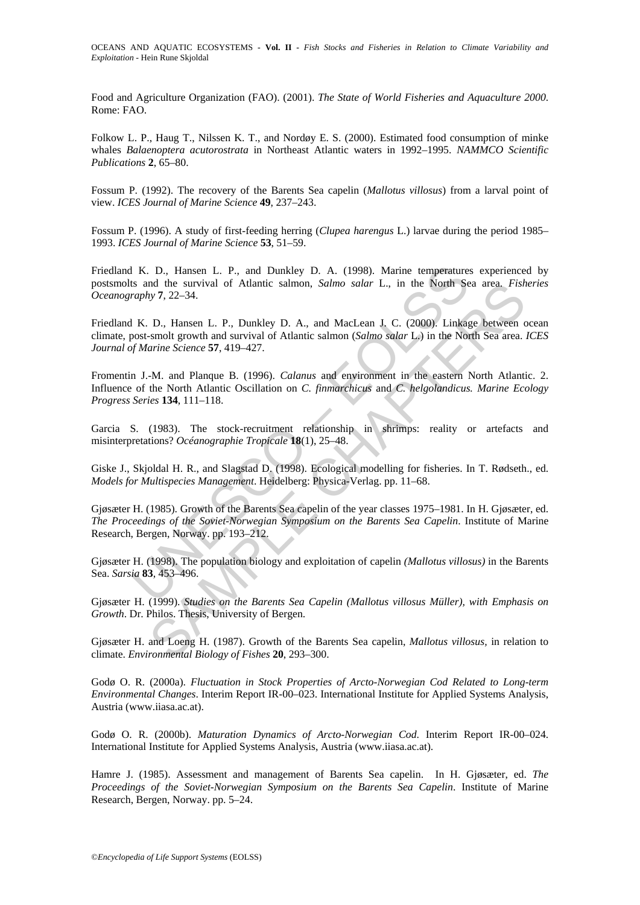Food and Agriculture Organization (FAO). (2001). *The State of World Fisheries and Aquaculture 2000*. Rome: FAO.

Folkow L. P., Haug T., Nilssen K. T., and Nordøy E. S. (2000). Estimated food consumption of minke whales *Balaenoptera acutorostrata* in Northeast Atlantic waters in 1992–1995. *NAMMCO Scientific Publications* **2**, 65–80.

Fossum P. (1992). The recovery of the Barents Sea capelin (*Mallotus villosus*) from a larval point of view. *ICES Journal of Marine Science* **49**, 237–243.

Fossum P. (1996). A study of first-feeding herring (*Clupea harengus* L.) larvae during the period 1985– 1993. *ICES Journal of Marine Science* **53**, 51–59.

1 K. D., Hansen L. P., and Dunkley D. A. (1998). Marine temperatures<br>
is and the survival of Atlantic salmon, *Salmo salar* L., in the North Setenby 7, 22–34.<br>
1 K. D., Hansen L. P., Dunkley D. A., and MacLean J. C. (2000) Friedland K. D., Hansen L. P., and Dunkley D. A. (1998). Marine temperatures experienced by postsmolts and the survival of Atlantic salmon, *Salmo salar* L., in the North Sea area. *Fisheries Oceanography* **7**, 22–34.

Friedland K. D., Hansen L. P., Dunkley D. A., and MacLean J. C. (2000). Linkage between ocean climate, post-smolt growth and survival of Atlantic salmon (*Salmo salar* L.) in the North Sea area. *ICES Journal of Marine Science* **57**, 419–427.

md the survival of Atlantic salmon, *Salmo salar* L., in the North Sea area. *Fish*<br>
D., Hansen L. P., Dunkley D. A., and MacLean J. C. (2000). Linkage between c.<br>
E-molt growth and survival of Atlantic salmon (*Salmo sala* Fromentin J.-M. and Planque B. (1996). *Calanus* and environment in the eastern North Atlantic. 2. Influence of the North Atlantic Oscillation on *C. finmarchicus* and *C. helgolandicus. Marine Ecology Progress Series* **134**, 111–118.

Garcia S. (1983). The stock-recruitment relationship in shrimps: reality or artefacts and misinterpretations? *Océanographie Tropicale* **18**(1), 25–48.

Giske J., Skjoldal H. R., and Slagstad D. (1998). Ecological modelling for fisheries. In T. Rødseth., ed. *Models for Multispecies Management*. Heidelberg: Physica-Verlag. pp. 11–68.

Gjøsæter H. (1985). Growth of the Barents Sea capelin of the year classes 1975–1981. In H. Gjøsæter, ed. *The Proceedings of the Soviet-Norwegian Symposium on the Barents Sea Capelin*. Institute of Marine Research, Bergen, Norway. pp. 193–212.

Gjøsæter H. (1998). The population biology and exploitation of capelin *(Mallotus villosus)* in the Barents Sea. *Sarsia* **83**, 453–496.

Gjøsæter H. (1999). *Studies on the Barents Sea Capelin (Mallotus villosus Müller), with Emphasis on Growth*. Dr. Philos. Thesis, University of Bergen.

Gjøsæter H. and Loeng H. (1987). Growth of the Barents Sea capelin, *Mallotus villosus,* in relation to climate. *Environmental Biology of Fishes* **20**, 293–300.

Godø O. R. (2000a). *Fluctuation in Stock Properties of Arcto-Norwegian Cod Related to Long-term Environmental Changes*. Interim Report IR-00–023. International Institute for Applied Systems Analysis, Austria (www.iiasa.ac.at).

Godø O. R. (2000b). *Maturation Dynamics of Arcto-Norwegian Cod*. Interim Report IR-00–024. International Institute for Applied Systems Analysis, Austria (www.iiasa.ac.at).

Hamre J. (1985). Assessment and management of Barents Sea capelin. In H. Gjøsæter, ed. *The Proceedings of the Soviet-Norwegian Symposium on the Barents Sea Capelin*. Institute of Marine Research, Bergen, Norway. pp. 5–24.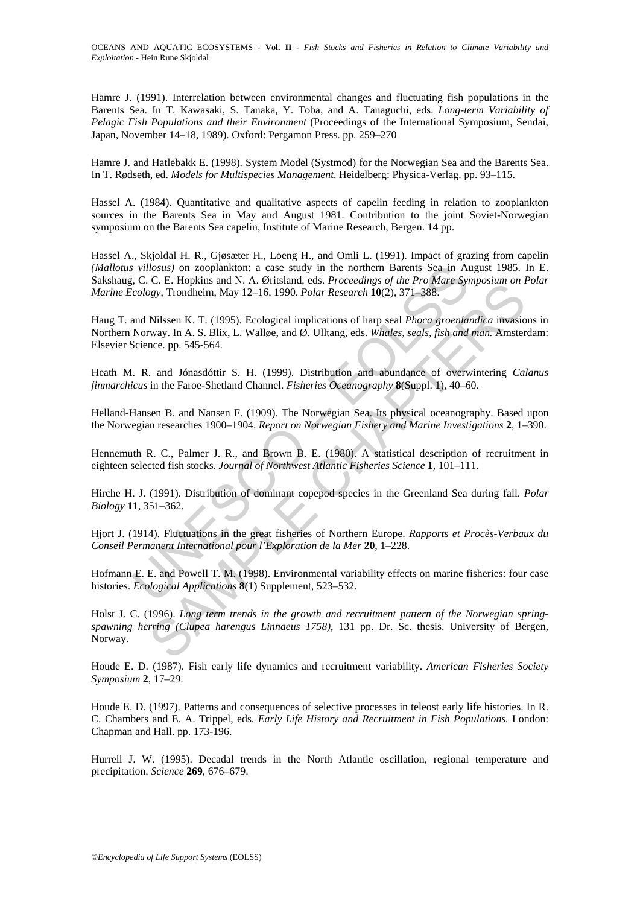Hamre J. (1991). Interrelation between environmental changes and fluctuating fish populations in the Barents Sea. In T. Kawasaki, S. Tanaka, Y. Toba, and A. Tanaguchi, eds. *Long-term Variability of Pelagic Fish Populations and their Environment* (Proceedings of the International Symposium, Sendai, Japan, November 14–18, 1989). Oxford: Pergamon Press. pp. 259–270

Hamre J. and Hatlebakk E. (1998). System Model (Systmod) for the Norwegian Sea and the Barents Sea. In T. Rødseth, ed. *Models for Multispecies Management*. Heidelberg: Physica-Verlag. pp. 93–115.

Hassel A. (1984). Quantitative and qualitative aspects of capelin feeding in relation to zooplankton sources in the Barents Sea in May and August 1981. Contribution to the joint Soviet-Norwegian symposium on the Barents Sea capelin, Institute of Marine Research, Bergen. 14 pp.

Hassel A., Skjoldal H. R., Gjøsæter H., Loeng H., and Omli L. (1991). Impact of grazing from capelin *(Mallotus villosus)* on zooplankton: a case study in the northern Barents Sea in August 1985. In E. Sakshaug, C. C. E. Hopkins and N. A. Øritsland, eds. *Proceedings of the Pro Mare Symposium on Polar Marine Ecology*, Trondheim, May 12–16, 1990. *Polar Research* **10**(2), 371–388.

*s* villosus) on zooplankton: a case study in the northern Barents Sea in At C.c. C. E. Hopkins and N. A. Øritsland, eds. *Proceedings of the Pro Mare Sycology*, Trondhein, May 12–16, 1990. *Polar Research* 10(2), 371–388. Haug T. and Nilssen K. T. (1995). Ecological implications of harp seal *Phoca groenlandica* invasions in Northern Norway. In A. S. Blix, L. Walløe, and Ø. Ulltang, eds. *Whales, seals, fish and man.* Amsterdam: Elsevier Science. pp. 545-564.

Heath M. R. and Jónasdóttir S. H. (1999). Distribution and abundance of overwintering *Calanus finmarchicus* in the Faroe-Shetland Channel. *Fisheries Oceanography* **8**(Suppl. 1), 40–60.

Helland-Hansen B. and Nansen F. (1909). The Norwegian Sea. Its physical oceanography. Based upon the Norwegian researches 1900–1904. *Report on Norwegian Fishery and Marine Investigations* **2**, 1–390.

Hennemuth R. C., Palmer J. R., and Brown B. E. (1980). A statistical description of recruitment in eighteen selected fish stocks. *Journal of Northwest Atlantic Fisheries Science* **1**, 101–111.

Hirche H. J. (1991). Distribution of dominant copepod species in the Greenland Sea during fall. *Polar Biology* **11**, 351–362.

Hjort J. (1914). Fluctuations in the great fisheries of Northern Europe. *Rapports et Procès-Verbaux du Conseil Permanent International pour l'Exploration de la Mer* **20**, 1–228.

Hofmann E. E. and Powell T. M. (1998). Environmental variability effects on marine fisheries: four case histories. *Ecological Applications* **8**(1) Supplement, 523–532.

C. *R.*: Hopkma and W. N. Vintamia, east. *Fricketings*, of the *Fron matie examplosium on Tggs*), Trondheim, May 12-16, 1990. *Polar Research* **10**(2), 371-388.<br>Nilssen K. T. (1995). Ecological implications of harp seal Holst J. C. (1996). *Long term trends in the growth and recruitment pattern of the Norwegian springspawning herring (Clupea harengus Linnaeus 1758)*, 131 pp. Dr. Sc. thesis. University of Bergen, Norway.

Houde E. D. (1987). Fish early life dynamics and recruitment variability. *American Fisheries Society Symposium* **2**, 17–29.

Houde E. D. (1997). Patterns and consequences of selective processes in teleost early life histories. In R. C. Chambers and E. A. Trippel, eds. *Early Life History and Recruitment in Fish Populations.* London: Chapman and Hall. pp. 173-196.

Hurrell J. W. (1995). Decadal trends in the North Atlantic oscillation, regional temperature and precipitation. *Science* **269**, 676–679.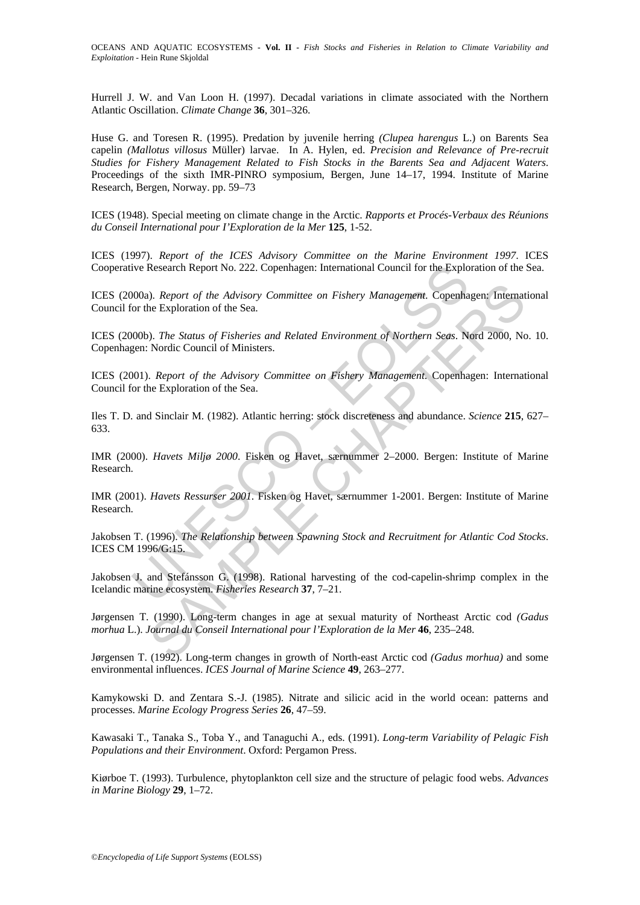Hurrell J. W. and Van Loon H. (1997). Decadal variations in climate associated with the Northern Atlantic Oscillation. *Climate Change* **36**, 301–326.

Huse G. and Toresen R. (1995). Predation by juvenile herring *(Clupea harengus* L.) on Barents Sea capelin *(Mallotus villosus* Müller) larvae. In A. Hylen, ed. *Precision and Relevance of Pre-recruit Studies for Fishery Management Related to Fish Stocks in the Barents Sea and Adjacent Waters*. Proceedings of the sixth IMR-PINRO symposium, Bergen, June 14–17, 1994. Institute of Marine Research, Bergen, Norway. pp. 59–73

ICES (1948). Special meeting on climate change in the Arctic. *Rapports et Procés-Verbaux des Réunions du Conseil International pour I'Exploration de la Mer* **125**, 1-52.

ICES (1997). *Report of the ICES Advisory Committee on the Marine Environment 1997*. ICES Cooperative Research Report No. 222. Copenhagen: International Council for the Exploration of the Sea.

ICES (2000a). *Report of the Advisory Committee on Fishery Management*. Copenhagen: International Council for the Exploration of the Sea.

ICES (2000b). *The Status of Fisheries and Related Environment of Northern Seas*. Nord 2000, No. 10. Copenhagen: Nordic Council of Ministers.

ICES (2001). *Report of the Advisory Committee on Fishery Management*. Copenhagen: International Council for the Exploration of the Sea.

Iles T. D. and Sinclair M. (1982). Atlantic herring: stock discreteness and abundance. *Science* **215**, 627– 633.

ive Research Report No. 222. Copenhagen: International Council for the Explo<br>
100a). *Report of the Advisory Committee on Fishery Management*. Copenha<br>
for the Exploration of the Sea.<br>
100b). *The Status of Fisheries and R* Solid Report of the Advisory Committee on Fishery Management. Copenhagen: Internate Exploration of the Sea.<br>
S. The Status of Fisheries and Related Environment of Northern Seas. Nord 2000, Nc<br>
Nordic Council of Ministers. IMR (2000). *Havets Miljø 2000*. Fisken og Havet, særnummer 2–2000. Bergen: Institute of Marine Research.

IMR (2001). *Havets Ressurser 2001*. Fisken og Havet, særnummer 1-2001. Bergen: Institute of Marine Research.

Jakobsen T. (1996). *The Relationship between Spawning Stock and Recruitment for Atlantic Cod Stocks*. ICES CM 1996/G:15.

Jakobsen J. and Stefánsson G. (1998). Rational harvesting of the cod-capelin-shrimp complex in the Icelandic marine ecosystem. *Fisheries Research* **37**, 7–21.

Jørgensen T. (1990). Long-term changes in age at sexual maturity of Northeast Arctic cod *(Gadus morhua* L.). *Journal du Conseil International pour l'Exploration de la Mer* **46**, 235–248.

Jørgensen T. (1992). Long-term changes in growth of North-east Arctic cod *(Gadus morhua)* and some environmental influences. *ICES Journal of Marine Science* **49**, 263–277.

Kamykowski D. and Zentara S.-J. (1985). Nitrate and silicic acid in the world ocean: patterns and processes. *Marine Ecology Progress Series* **26**, 47–59.

Kawasaki T., Tanaka S., Toba Y., and Tanaguchi A., eds. (1991). *Long-term Variability of Pelagic Fish Populations and their Environment*. Oxford: Pergamon Press.

Kiørboe T. (1993). Turbulence, phytoplankton cell size and the structure of pelagic food webs. *Advances in Marine Biology* **29**, 1–72.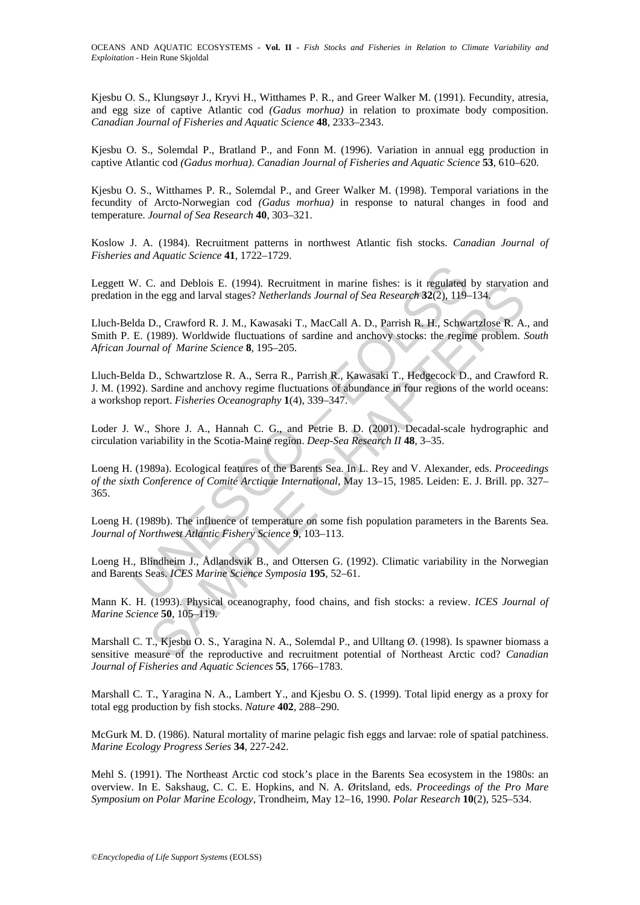Kjesbu O. S., Klungsøyr J., Kryvi H., Witthames P. R., and Greer Walker M. (1991). Fecundity, atresia, and egg size of captive Atlantic cod *(Gadus morhua)* in relation to proximate body composition. *Canadian Journal of Fisheries and Aquatic Science* **48**, 2333–2343.

Kjesbu O. S., Solemdal P., Bratland P., and Fonn M. (1996). Variation in annual egg production in captive Atlantic cod *(Gadus morhua)*. *Canadian Journal of Fisheries and Aquatic Science* **53**, 610–620.

Kjesbu O. S., Witthames P. R., Solemdal P., and Greer Walker M. (1998). Temporal variations in the fecundity of Arcto-Norwegian cod *(Gadus morhua)* in response to natural changes in food and temperature. *Journal of Sea Research* **40**, 303–321.

Koslow J. A. (1984). Recruitment patterns in northwest Atlantic fish stocks. *Canadian Journal of Fisheries and Aquatic Science* **41**, 1722–1729.

Leggett W. C. and Deblois E. (1994). Recruitment in marine fishes: is it regulated by starvation and predation in the egg and larval stages? *Netherlands Journal of Sea Research* **32**(2), 119–134.

Lluch-Belda D., Crawford R. J. M., Kawasaki T., MacCall A. D., Parrish R. H., Schwartzlose R. A., and Smith P. E. (1989). Worldwide fluctuations of sardine and anchovy stocks: the regime problem. *South African Journal of Marine Science* **8**, 195–205.

Lluch-Belda D., Schwartzlose R. A., Serra R., Parrish R., Kawasaki T., Hedgecock D., and Crawford R. J. M. (1992). Sardine and anchovy regime fluctuations of abundance in four regions of the world oceans: a workshop report. *Fisheries Oceanography* **1**(4), 339–347.

Loder J. W., Shore J. A., Hannah C. G., and Petrie B. D. (2001). Decadal-scale hydrographic and circulation variability in the Scotia-Maine region. *Deep-Sea Research II* **48**, 3–35.

W. C. and Deblois E. (1994). Recruitment in marine fishes: is it regulated<br>in the egg and larval stages? *Netherlands Journal of Sea Research* 32(2), 119-<br>Ida D., Crawford R. J. M., Kawasaki T., MacCall A. D., Parrish R. H C. and Debions E. (1994). Recruitment in marine Inshes: is it regulated by starvation<br>the egg and larval stages? Netherlands Journal of Sea Research 32(2), 119–134.<br>D., Crawford R. J. M., Kawasaki T., MacCall A. D., Parri Loeng H. (1989a). Ecological features of the Barents Sea. In L. Rey and V. Alexander, eds. *Proceedings of the sixth Conference of Comité Arctique International*, May 13–15, 1985. Leiden: E. J. Brill. pp. 327– 365.

Loeng H. (1989b). The influence of temperature on some fish population parameters in the Barents Sea. *Journal of Northwest Atlantic Fishery Science* **9**, 103–113.

Loeng H., Blindheim J., Ådlandsvik B., and Ottersen G. (1992). Climatic variability in the Norwegian and Barents Seas. *ICES Marine Science Symposia* **195**, 52–61.

Mann K. H. (1993). Physical oceanography, food chains, and fish stocks: a review. *ICES Journal of Marine Science* **50**, 105–119.

Marshall C. T., Kjesbu O. S., Yaragina N. A., Solemdal P., and Ulltang Ø. (1998). Is spawner biomass a sensitive measure of the reproductive and recruitment potential of Northeast Arctic cod? *Canadian Journal of Fisheries and Aquatic Sciences* **55**, 1766–1783.

Marshall C. T., Yaragina N. A., Lambert Y., and Kjesbu O. S. (1999). Total lipid energy as a proxy for total egg production by fish stocks. *Nature* **402**, 288–290.

McGurk M. D. (1986). Natural mortality of marine pelagic fish eggs and larvae: role of spatial patchiness. *Marine Ecology Progress Series* **34**, 227-242.

Mehl S. (1991). The Northeast Arctic cod stock's place in the Barents Sea ecosystem in the 1980s: an overview. In E. Sakshaug, C. C. E. Hopkins, and N. A. Øritsland, eds. *Proceedings of the Pro Mare Symposium on Polar Marine Ecology*, Trondheim, May 12–16, 1990. *Polar Research* **10**(2), 525–534.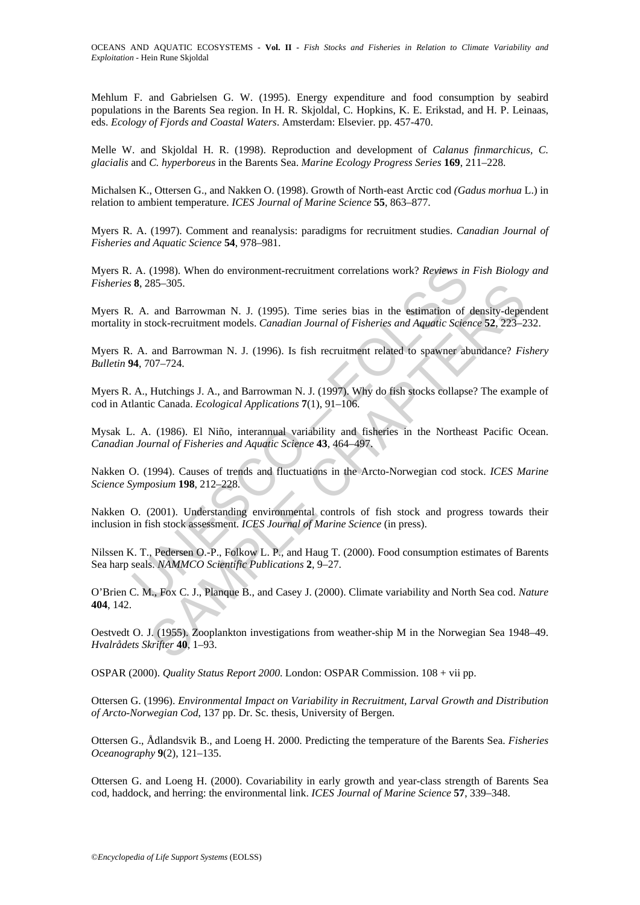Mehlum F. and Gabrielsen G. W. (1995). Energy expenditure and food consumption by seabird populations in the Barents Sea region. In H. R. Skjoldal, C. Hopkins, K. E. Erikstad, and H. P. Leinaas, eds. *Ecology of Fjords and Coastal Waters*. Amsterdam: Elsevier. pp. 457-470.

Melle W. and Skjoldal H. R. (1998). Reproduction and development of *Calanus finmarchicus, C. glacialis* and *C. hyperboreus* in the Barents Sea. *Marine Ecology Progress Series* **169**, 211–228.

Michalsen K., Ottersen G., and Nakken O. (1998). Growth of North-east Arctic cod *(Gadus morhua* L.) in relation to ambient temperature. *ICES Journal of Marine Science* **55**, 863–877.

Myers R. A. (1997). Comment and reanalysis: paradigms for recruitment studies. *Canadian Journal of Fisheries and Aquatic Science* **54**, 978–981.

Myers R. A. (1998). When do environment-recruitment correlations work? *Reviews in Fish Biology and Fisheries* **8**, 285–305.

A. (1998). When do environment-recruitment correlations work? *Reviews in*<br> **8.** 285–305.<br>
A. and Barrowman N. J. (1995). Time series bias in the estimation of<br>
in stock-recruitment models. *Canadian Journal of Fisheries a* Myers R. A. and Barrowman N. J. (1995). Time series bias in the estimation of density-dependent mortality in stock-recruitment models. *Canadian Journal of Fisheries and Aquatic Science* **52**, 223–232.

Myers R. A. and Barrowman N. J. (1996). Is fish recruitment related to spawner abundance? *Fishery Bulletin* **94**, 707–724.

Myers R. A., Hutchings J. A., and Barrowman N. J. (1997). Why do fish stocks collapse? The example of cod in Atlantic Canada. *Ecological Applications* **7**(1), 91–106.

Mysak L. A. (1986). El Niño, interannual variability and fisheries in the Northeast Pacific Ocean. *Canadian Journal of Fisheries and Aquatic Science* **43**, 464–497.

Nakken O. (1994). Causes of trends and fluctuations in the Arcto-Norwegian cod stock. *ICES Marine Science Symposium* **198**, 212–228.

Nakken O. (2001). Understanding environmental controls of fish stock and progress towards their inclusion in fish stock assessment. *ICES Journal of Marine Science* (in press).

Nilssen K. T., Pedersen O.-P., Folkow L. P., and Haug T. (2000). Food consumption estimates of Barents Sea harp seals. *NAMMCO Scientific Publications* **2**, 9–27.

O'Brien C. M., Fox C. J., Planque B., and Casey J. (2000). Climate variability and North Sea cod. *Nature* **404**, 142.

285–305.<br>
and Barrowman N. J. (1995). Time series bias in the estimation of density-depetock-recruitment models. *Canadian Journal of Fisheries and Aquafic Science* 52, 223–2<br>
and Barrowman N. J. (1996). Is fish recruitmen Oestvedt O. J. (1955). Zooplankton investigations from weather-ship M in the Norwegian Sea 1948–49. *Hvalrådets Skrifter* **40**, 1–93.

OSPAR (2000). *Quality Status Report 2000*. London: OSPAR Commission. 108 + vii pp.

Ottersen G. (1996). *Environmental Impact on Variability in Recruitment, Larval Growth and Distribution of Arcto-Norwegian Cod*, 137 pp. Dr. Sc. thesis, University of Bergen.

Ottersen G., Ådlandsvik B., and Loeng H. 2000. Predicting the temperature of the Barents Sea. *Fisheries Oceanography* **9**(2), 121–135.

Ottersen G. and Loeng H. (2000). Covariability in early growth and year-class strength of Barents Sea cod, haddock, and herring: the environmental link. *ICES Journal of Marine Science* **57**, 339–348.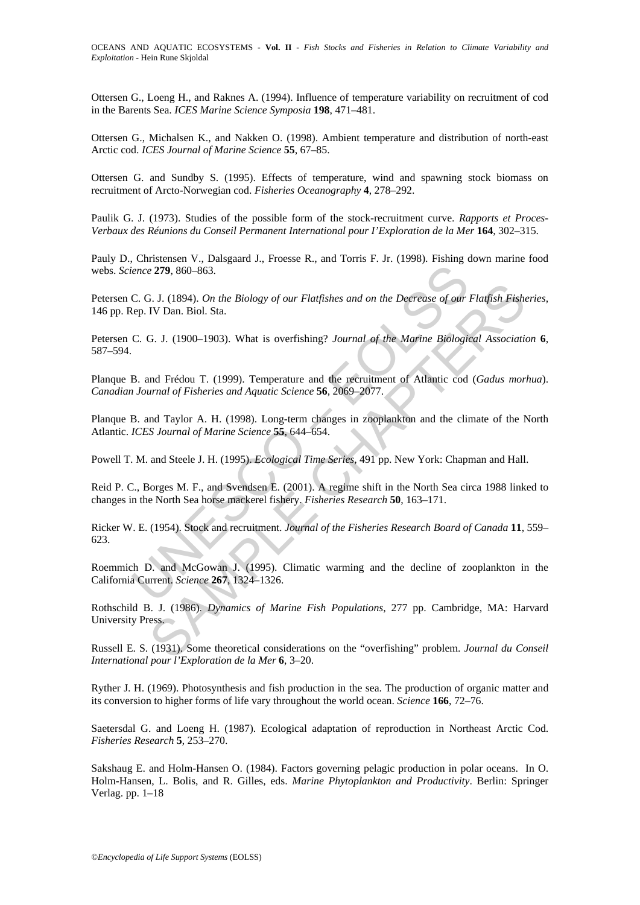Ottersen G., Loeng H., and Raknes A. (1994). Influence of temperature variability on recruitment of cod in the Barents Sea. *ICES Marine Science Symposia* **198**, 471–481.

Ottersen G., Michalsen K., and Nakken O. (1998). Ambient temperature and distribution of north-east Arctic cod. *ICES Journal of Marine Science* **55**, 67–85.

Ottersen G. and Sundby S. (1995). Effects of temperature, wind and spawning stock biomass on recruitment of Arcto-Norwegian cod. *Fisheries Oceanography* **4**, 278–292.

Paulik G. J. (1973). Studies of the possible form of the stock-recruitment curve. *Rapports et Proces-Verbaux des Réunions du Conseil Permanent International pour I'Exploration de la Mer* **164**, 302–315.

Pauly D., Christensen V., Dalsgaard J., Froesse R., and Torris F. Jr. (1998). Fishing down marine food webs. *Science* **279**, 860–863.

ience 279, 860–863.<br>
C. G. J. (1894). On the Biology of our Flatfishes and on the Decrease of our Elep. IV Dan. Biol. Sta.<br>
C. G. J. (1900–1903). What is overfishing? Journal of the Marine Biologic<br>
B. and Frédou T. (1999) 3. J. (1894). *On the Biology of our Flatfishes and on the Decrease of our Flatfish Fishty* Dan. Biol. Sta.<br>
G. J. (1900–1903). What is overfishing? *Journal of the Marine Biological Association*<br>
and Frédou T. (1999). Te Petersen C. G. J. (1894). *On the Biology of our Flatfishes and on the Decrease of our Flatfish Fisheries*, 146 pp. Rep. IV Dan. Biol. Sta.

Petersen C. G. J. (1900–1903). What is overfishing? *Journal of the Marine Biological Association* **6**, 587–594.

Planque B. and Frédou T. (1999). Temperature and the recruitment of Atlantic cod (*Gadus morhua*). *Canadian Journal of Fisheries and Aquatic Science* **56**, 2069–2077.

Planque B. and Taylor A. H. (1998). Long-term changes in zooplankton and the climate of the North Atlantic. *ICES Journal of Marine Science* **55**, 644–654.

Powell T. M. and Steele J. H. (1995). *Ecological Time Series*, 491 pp. New York: Chapman and Hall.

Reid P. C., Borges M. F., and Svendsen E. (2001). A regime shift in the North Sea circa 1988 linked to changes in the North Sea horse mackerel fishery. *Fisheries Research* **50**, 163–171.

Ricker W. E. (1954). Stock and recruitment. *Journal of the Fisheries Research Board of Canada* **11**, 559– 623.

Roemmich D. and McGowan J. (1995). Climatic warming and the decline of zooplankton in the California Current. *Science* **267**, 1324–1326.

Rothschild B. J. (1986). *Dynamics of Marine Fish Populations*, 277 pp. Cambridge, MA: Harvard University Press.

Russell E. S. (1931). Some theoretical considerations on the "overfishing" problem. *Journal du Conseil International pour l'Exploration de la Mer* **6**, 3–20.

Ryther J. H. (1969). Photosynthesis and fish production in the sea. The production of organic matter and its conversion to higher forms of life vary throughout the world ocean. *Science* **166**, 72–76.

Saetersdal G. and Loeng H. (1987). Ecological adaptation of reproduction in Northeast Arctic Cod. *Fisheries Research* **5**, 253–270.

Sakshaug E. and Holm-Hansen O. (1984). Factors governing pelagic production in polar oceans. In O. Holm-Hansen, L. Bolis, and R. Gilles, eds. *Marine Phytoplankton and Productivity*. Berlin: Springer Verlag. pp. 1–18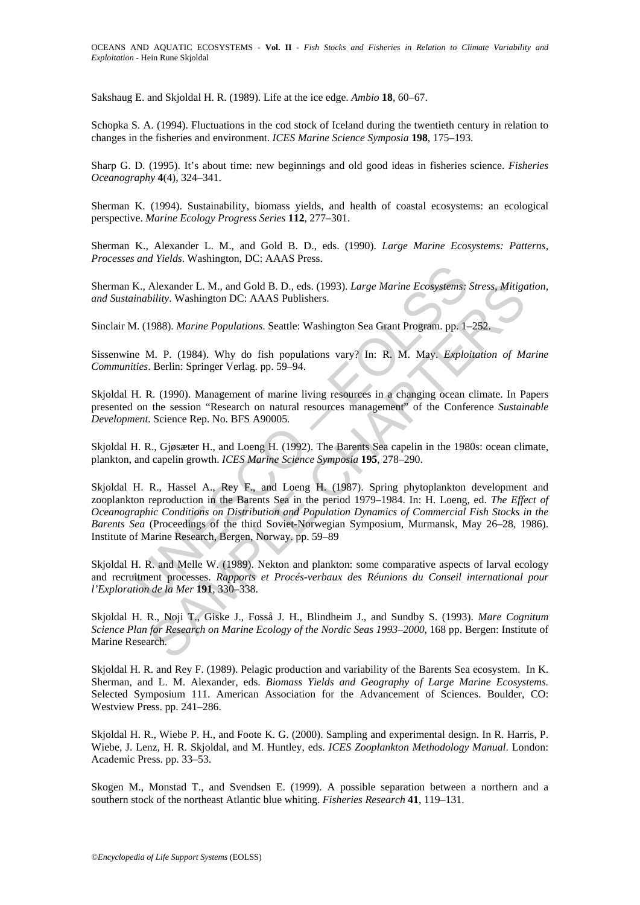Sakshaug E. and Skjoldal H. R. (1989). Life at the ice edge. *Ambio* **18**, 60–67.

Schopka S. A. (1994). Fluctuations in the cod stock of Iceland during the twentieth century in relation to changes in the fisheries and environment. *ICES Marine Science Symposia* **198**, 175–193.

Sharp G. D. (1995). It's about time: new beginnings and old good ideas in fisheries science. *Fisheries Oceanography* **4**(4), 324–341.

Sherman K. (1994). Sustainability, biomass yields, and health of coastal ecosystems: an ecological perspective. *Marine Ecology Progress Series* **112**, 277–301.

Sherman K., Alexander L. M., and Gold B. D., eds. (1990). *Large Marine Ecosystems: Patterns, Processes and Yields*. Washington, DC: AAAS Press.

Sherman K., Alexander L. M., and Gold B. D., eds. (1993). *Large Marine Ecosystems: Stress, Mitigation, and Sustainability*. Washington DC: AAAS Publishers.

Sinclair M. (1988). *Marine Populations*. Seattle: Washington Sea Grant Program. pp. 1–252.

Sissenwine M. P. (1984). Why do fish populations vary? In: R. M. May. *Exploitation of Marine Communities*. Berlin: Springer Verlag. pp. 59–94.

Skjoldal H. R. (1990). Management of marine living resources in a changing ocean climate. In Papers presented on the session "Research on natural resources management" of the Conference *Sustainable Development.* Science Rep. No. BFS A90005.

Skjoldal H. R., Gjøsæter H., and Loeng H. (1992). The Barents Sea capelin in the 1980s: ocean climate, plankton, and capelin growth. *ICES Marine Science Symposia* **195**, 278–290.

K., Alexander L. M., and Gold B. D., eds. (1993). *Large Marine Ecosystems:*<br>
inability. Washington DC: AAAS Publishers.<br>
A. (1988). *Marine Populations*. Seattle: Washington Sea Grant Program. pp. 1-<br>
ne M. P. (1984). Why Alexander L. M., and Gold B. D., eds. (1993). *Large Marine Ecosystems: Stress, Mitige*<br>
bility. Washington DC: AAAS Publishers.<br>
1988). *Marine Populations*. Seattle: Washington Sea Grant Program. pp. 1–252.<br>
M. P. (1984) Skjoldal H. R., Hassel A., Rey F., and Loeng H. (1987). Spring phytoplankton development and zooplankton reproduction in the Barents Sea in the period 1979–1984. In: H. Loeng, ed. *The Effect of Oceanographic Conditions on Distribution and Population Dynamics of Commercial Fish Stocks in the Barents Sea* (Proceedings of the third Soviet-Norwegian Symposium, Murmansk, May 26–28, 1986). Institute of Marine Research, Bergen, Norway. pp. 59–89

Skjoldal H. R. and Melle W. (1989). Nekton and plankton: some comparative aspects of larval ecology and recruitment processes. *Rapports et Procés-verbaux des Réunions du Conseil international pour l'Exploration de la Mer* **191**, 330–338.

Skjoldal H. R., Noji T., Giske J., Fosså J. H., Blindheim J., and Sundby S. (1993). *Mare Cognitum Science Plan for Research on Marine Ecology of the Nordic Seas 1993–2000*, 168 pp. Bergen: Institute of Marine Research.

Skjoldal H. R. and Rey F. (1989). Pelagic production and variability of the Barents Sea ecosystem. In K. Sherman, and L. M. Alexander, eds. *Biomass Yields and Geography of Large Marine Ecosystems.*  Selected Symposium 111. American Association for the Advancement of Sciences. Boulder, CO: Westview Press. pp. 241–286.

Skjoldal H. R., Wiebe P. H., and Foote K. G. (2000). Sampling and experimental design. In R. Harris, P. Wiebe, J. Lenz, H. R. Skjoldal, and M. Huntley, eds. *ICES Zooplankton Methodology Manual*. London: Academic Press. pp. 33–53.

Skogen M., Monstad T., and Svendsen E. (1999). A possible separation between a northern and a southern stock of the northeast Atlantic blue whiting. *Fisheries Research* **41**, 119–131.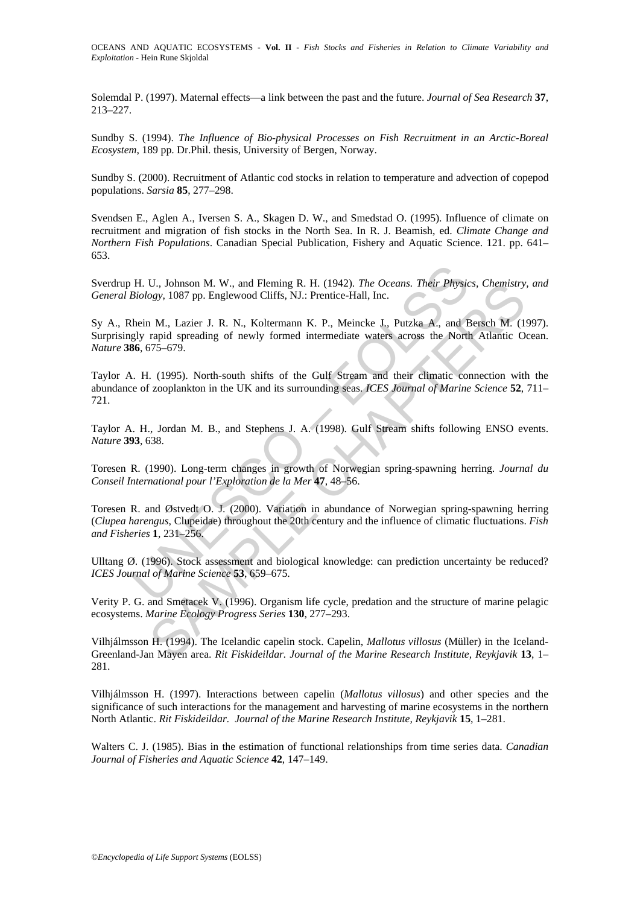Solemdal P. (1997). Maternal effects—a link between the past and the future. *Journal of Sea Research* **37**, 213–227.

Sundby S. (1994). *The Influence of Bio-physical Processes on Fish Recruitment in an Arctic-Boreal Ecosystem*, 189 pp. Dr.Phil. thesis, University of Bergen, Norway.

Sundby S. (2000). Recruitment of Atlantic cod stocks in relation to temperature and advection of copepod populations. *Sarsia* **85**, 277–298.

Svendsen E., Aglen A., Iversen S. A., Skagen D. W., and Smedstad O. (1995). Influence of climate on recruitment and migration of fish stocks in the North Sea. In R. J. Beamish, ed. *Climate Change and Northern Fish Populations*. Canadian Special Publication, Fishery and Aquatic Science. 121. pp. 641– 653.

Sverdrup H. U., Johnson M. W., and Fleming R. H. (1942). *The Oceans. Their Physics, Chemistry, and General Biology*, 1087 pp. Englewood Cliffs, NJ.: Prentice-Hall, Inc.

Sy A., Rhein M., Lazier J. R. N., Koltermann K. P., Meincke J., Putzka A., and Bersch M. (1997). Surprisingly rapid spreading of newly formed intermediate waters across the North Atlantic Ocean. *Nature* **386**, 675–679.

H. U., Johnson M. W., and Fleming R. H. (1942). *The Oceans. Their Physics Biology*, 1087 pp. Englewood Cliffs, NJ.: Prentice-Hall, Inc.<br>
hein M., Lazier J. R. N., Koltermann K. P., Meincke J., Putzka A., and Egly rapid s U., Johnson M. W., and Helming R. H. (1942). The Oceans. Their Effixers, Chemistry,<br>
10, Johnson M. W., and Helming R. P., Meincke J., Putizka A., and Bersch M. (1<br>
1 M., Lazier J. R. N., Koltermann K. P., Meincke J., Put Taylor A. H. (1995). North-south shifts of the Gulf Stream and their climatic connection with the abundance of zooplankton in the UK and its surrounding seas. *ICES Journal of Marine Science* **52**, 711– 721.

Taylor A. H., Jordan M. B., and Stephens J. A. (1998). Gulf Stream shifts following ENSO events. *Nature* **393**, 638.

Toresen R. (1990). Long-term changes in growth of Norwegian spring-spawning herring. *Journal du Conseil International pour l'Exploration de la Mer* **47**, 48–56.

Toresen R. and Østvedt O. J. (2000). Variation in abundance of Norwegian spring-spawning herring (*Clupea harengus*, Clupeidae) throughout the 20th century and the influence of climatic fluctuations. *Fish and Fisheries* **1**, 231–256.

Ulltang Ø. (1996). Stock assessment and biological knowledge: can prediction uncertainty be reduced? *ICES Journal of Marine Science* **53**, 659–675.

Verity P. G. and Smetacek V. (1996). Organism life cycle, predation and the structure of marine pelagic ecosystems. *Marine Ecology Progress Series* **130**, 277–293.

Vilhjálmsson H. (1994). The Icelandic capelin stock. Capelin, *Mallotus villosus* (Müller) in the Iceland-Greenland-Jan Mayen area. *Rit Fiskideildar. Journal of the Marine Research Institute, Reykjavik* **13**, 1– 281.

Vilhjálmsson H. (1997). Interactions between capelin (*Mallotus villosus*) and other species and the significance of such interactions for the management and harvesting of marine ecosystems in the northern North Atlantic. *Rit Fiskideildar. Journal of the Marine Research Institute, Reykjavik* **15**, 1–281.

Walters C. J. (1985). Bias in the estimation of functional relationships from time series data. *Canadian Journal of Fisheries and Aquatic Science* **42**, 147–149.